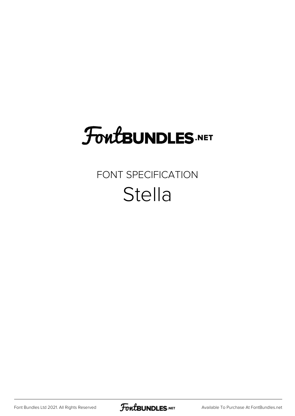## **FoutBUNDLES.NET**

### FONT SPECIFICATION Stella

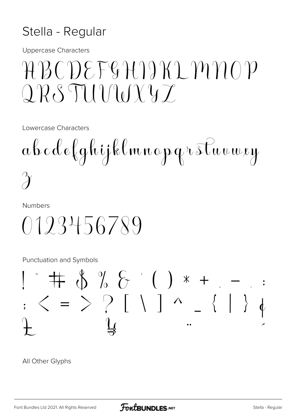#### Stella - Regular

**Uppercase Characters** 

## $AGOEFGH19K1M0P$  $QRSTUUUXYZ$

Lowercase Characters

abcdefghijklmnopqr $\bar{st}$ wwwy

**Numbers** 

0123456789

**Punctuation and Symbols** 



All Other Glyphs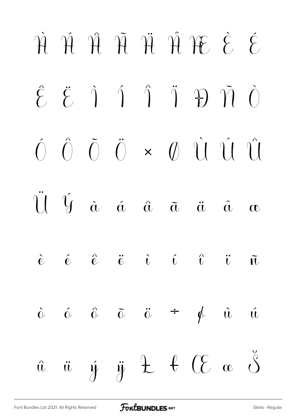# À Á Â Ã Ä Å Æ È É  $\hat{\epsilon}$   $\ddot{\epsilon}$   $\dot{1}$   $\ddot{1}$   $\ddot{1}$   $\ddot{2}$   $\ddot{1}$   $\dot{0}$  $\hat{O}$   $\hat{O}$   $\hat{O}$   $\times$   $\hat{O}$   $\hat{U}$   $\hat{U}$   $\hat{U}$ Ü Ý à á â ã ä å æ  $\tilde{e}$   $\tilde{e}$   $\tilde{e}$   $\tilde{e}$   $\tilde{v}$   $\tilde{v}$   $\tilde{v}$   $\tilde{v}$   $\tilde{v}$  $\hat{c}$   $\hat{c}$   $\tilde{c}$   $\tilde{c}$   $\div$   $\phi$   $\tilde{u}$   $\tilde{u}$  $\hat{u}$   $\ddot{u}$   $\dot{y}$   $\ddot{z}$   $\theta$   $\ddot{\theta}$   $\alpha$   $\ddot{\theta}$

[Font Bundles Ltd 2021. All Rights Reserved](https://fontbundles.net/) **FoutBUNDLES.NET** [Stella - Regular](https://fontbundles.net/)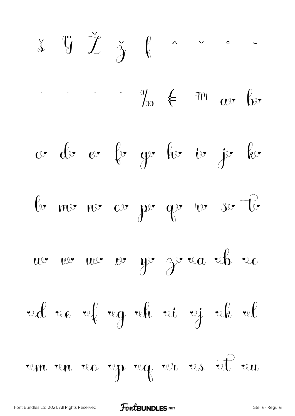$$
\check{\mathbf{S}} \quad \check{\mathbf{U}} \quad \check{\check{\mathbf{Z}}} \quad \check{\mathbf{S}} \quad \bigg\{ \quad \land \quad \lor \quad \circ \quad \textbf{-}
$$

$$
\frac{1}{2} \int_{\mathcal{O}} \mathcal{O} \left( \frac{1}{2} \sum_{i=1}^{n} \mathcal{O} \left( \frac{1}{2} \sum_{i=1}^{n} \mathcal{O} \left( \frac{1}{2} \sum_{i=1}^{n} \mathcal{O} \left( \frac{1}{2} \sum_{i=1}^{n} \frac{1}{2} \mathcal{O} \left( \frac{1}{2} \sum_{i=1}^{n} \frac{1}{2} \mathcal{O} \left( \frac{1}{2} \sum_{i=1}^{n} \frac{1}{2} \mathcal{O} \left( \frac{1}{2} \sum_{i=1}^{n} \frac{1}{2} \mathcal{O} \left( \frac{1}{2} \sum_{i=1}^{n} \frac{1}{2} \mathcal{O} \left( \frac{1}{2} \sum_{i=1}^{n} \frac{1}{2} \mathcal{O} \left( \frac{1}{2} \sum_{i=1}^{n} \frac{1}{2} \mathcal{O} \left( \frac{1}{2} \sum_{i=1}^{n} \frac{1}{2} \mathcal{O} \left( \frac{1}{2} \sum_{i=1}^{n} \frac{1}{2} \mathcal{O} \left( \frac{1}{2} \sum_{i=1}^{n} \frac{1}{2} \mathcal{O} \left( \frac{1}{2} \sum_{i=1}^{n} \frac{1}{2} \mathcal{O} \left( \frac{1}{2} \sum_{i=1}^{n} \frac{1}{2} \mathcal{O} \left( \frac{1}{2} \sum_{i=1}^{n} \frac{1}{2} \mathcal{O} \left( \frac{1}{2} \sum_{i=1}^{n} \frac{1}{2} \mathcal{O} \left( \frac{1}{2} \sum_{i=1}^{n} \frac{1}{2} \mathcal{O} \left( \frac{1}{2} \sum_{i=1}^{n} \frac{1}{2} \mathcal{O} \left( \frac{1}{2} \sum_{i=1}^{n} \frac{1}{2} \mathcal{O} \left( \frac{1}{2} \sum_{i=1}^{n} \frac{1}{2} \mathcal{O} \left( \frac{1}{2} \right) \right) \right) \right) \right) \right)
$$

$$
c^{v} c^{v} c^{v} e^{v} f^{v} g^{v} h^{v} i^{v} j^{v} k^{v}
$$

$$
\int_{\mathcal{C}^*} \mathbf{w} \cdot \mathbf{w} \cdot \mathbf{w} \cdot \mathbf{w} \cdot \mathbf{w} \cdot \mathbf{w} \cdot \mathbf{w} \cdot \mathbf{w} \cdot \mathbf{w}
$$

un un un up ug ur us al un